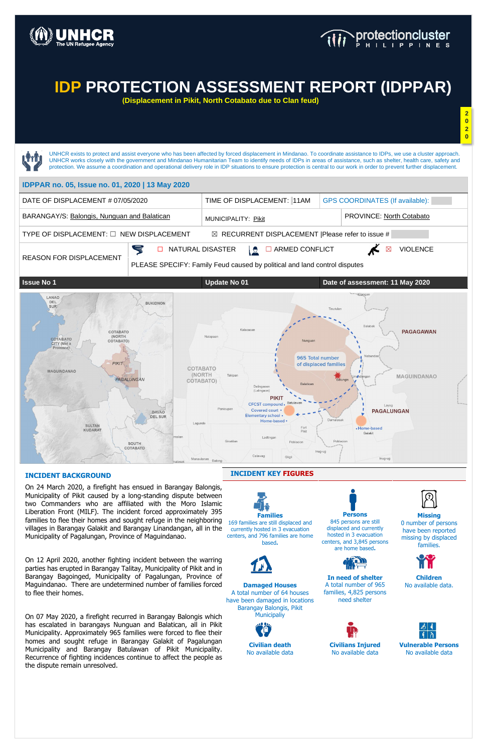

### **INCIDENT BACKGROUND**

On 24 March 2020, a firefight has ensued in Barangay Balongis, Municipality of Pikit caused by a long-standing dispute between two Commanders who are affiliated with the Moro Islamic Liberation Front (MILF). The incident forced approximately 395 families to flee their homes and sought refuge in the neighboring villages in Barangay Galakit and Barangay Linandangan, all in the Municipality of Pagalungan, Province of Maguindanao.

On 12 April 2020, another fighting incident between the warring parties has erupted in Barangay Talitay, Municipality of Pikit and in Barangay Bagoinged, Municipality of Pagalungan, Province of Maguindanao. There are undetermined number of families forced to flee their homes.

**Damaged Houses** A total number of 64 houses have been damaged in locations Barangay Balongis, Pikit **Municipaliy** 

UNHCR exists to protect and assist everyone who has been affected by forced displacement in Mindanao. To coordinate assistance to IDPs, we use a cluster approach. UNHCR works closely with the government and Mindanao Humanitarian Team to identify needs of IDPs in areas of assistance, such as shelter, health care, safety and protection. We assume a coordination and operational delivery role in IDP situations to ensure protection is central to our work in order to prevent further displacement. **IDPPAR no. 05, Issue no. 01, 2020 | 13 May 2020** DATE OF DISPLACEMENT # 07/05/2020 TIME OF DISPLACEMENT: 11AM GPS COORDINATES (If available): BARANGAY/S: Balongis, Nunguan and Balatican MUNICIPALITY: Pikit PROVINCE: North Cotabato TYPE OF DISPLACEMENT: □ NEW DISPLACEMENT  $□$  RECURRENT DISPLACEMENT |Please refer to issue #  $\blacktriangleleft$ **□** NATURAL DISASTER  $\frac{1}{2}$  **□** ARMED CONFLICT  $\overline{M}$  ⊠ VIOLENCE REASON FOR DISPLACEMENT PLEASE SPECIFY: Family Feud caused by political and land control disputes **Issue No 1 Update No 01 Date of assessment: 11 May 2020** LANAO DEL<br>SUR **BUKIDNON** Ralah COTABATO **PAGAGAWAN** (NORTH Nalapaa COTABATO COTABATO) CITY (Not a Province) 965 Total number PIKIT of displaced families COTABATO **MAGUINDANAO** (NORTH MAGUINDANAO PAGALUNGAN COTABATO) Daling **PIKIT** CFCST compound. Batulawa Lavo Panicupal Covered court . **PAGALUNGAN** DAVAO **Elementary school DEL SUR** Home-based Lagunde **SULTAN** Fort<br>Pikit • Home-based KUDARAT Galakit Pobli Poblacion SOUTH COTABATO Calawag Gligl

On 07 May 2020, a firefight recurred in Barangay Balongis which has escalated in barangays Nunguan and Balatican, all in Pikit Municipality. Approximately 965 families were forced to flee their homes and sought refuge in Barangay Galakit of Pagalungan Municipality and Barangay Batulawan of Pikit Municipality. Recurrence of fighting incidences continue to affect the people as the dispute remain unresolved.

### **INCIDENT KEY FIGURES**



**Persons** 845 persons are still displaced and currently hosted in 3 evacuation centers, and 3,845 persons are home based**.**



**Missing** 0 number of persons have been reported missing by displaced families.

**In need of shelter** A total number of 965 families, 4,825 persons need shelter



Inug-ug

**Children** No available data.



**Civilian death**  No available data **Civilians Injured** No available data

**Vulnerable Persons** No available data

# **IDP PROTECTION ASSESSMENT REPORT (IDPPAR)**

**(Displacement in Pikit, North Cotabato due to Clan feud)**

**2**

**0 2 0**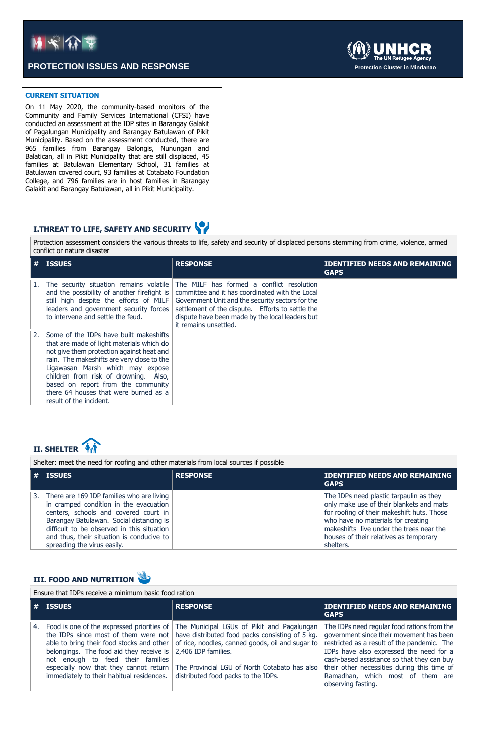### **CURRENT SITUATION**

On 11 May 2020, the community-based monitors of the Community and Family Services International (CFSI) have conducted an assessment at the IDP sites in Barangay Galakit of Pagalungan Municipality and Barangay Batulawan of Pikit Municipality. Based on the assessment conducted, there are 965 families from Barangay Balongis, Nunungan and Balatican, all in Pikit Municipality that are still displaced, 45 families at Batulawan Elementary School, 31 families at Batulawan covered court, 93 families at Cotabato Foundation College, and 796 families are in host families in Barangay Galakit and Barangay Batulawan, all in Pikit Municipality.

## **I.THREAT TO LIFE, SAFETY AND SECURITY**

Protection assessment considers the various threats to life, safety and security of displaced persons stemming from crime, violence, armed conflict or nature disaster

| #  | <b>ISSUES</b>                                                                                                                                                                                                                                                                                                                                                         | <b>RESPONSE</b>                                                                                                                                                                                                                                                                  | <b>IDENTIFIED NEEDS AND REMAINING</b><br><b>GAPS</b> |
|----|-----------------------------------------------------------------------------------------------------------------------------------------------------------------------------------------------------------------------------------------------------------------------------------------------------------------------------------------------------------------------|----------------------------------------------------------------------------------------------------------------------------------------------------------------------------------------------------------------------------------------------------------------------------------|------------------------------------------------------|
|    | The security situation remains volatile<br>and the possibility of another firefight is<br>still high despite the efforts of MILF<br>leaders and government security forces<br>to intervene and settle the feud.                                                                                                                                                       | The MILF has formed a conflict resolution<br>committee and it has coordinated with the Local<br>Government Unit and the security sectors for the<br>settlement of the dispute. Efforts to settle the<br>dispute have been made by the local leaders but<br>it remains unsettled. |                                                      |
| 2. | Some of the IDPs have built makeshifts<br>that are made of light materials which do<br>not give them protection against heat and<br>rain. The makeshifts are very close to the<br>Ligawasan Marsh which may expose<br>children from risk of drowning. Also,<br>based on report from the community<br>there 64 houses that were burned as a<br>result of the incident. |                                                                                                                                                                                                                                                                                  |                                                      |

# **II. SHELTER**

Shelter: meet the need for roofing and other materials from local sources if possible

|    | <b>ISSUES</b>                                                                                                                                                                                                                                                                                      | <b>RESPONSE</b> | <b>IDENTIFIED NEEDS AND REMAINING</b><br><b>GAPS</b>                                                                                                                                                                                                                       |
|----|----------------------------------------------------------------------------------------------------------------------------------------------------------------------------------------------------------------------------------------------------------------------------------------------------|-----------------|----------------------------------------------------------------------------------------------------------------------------------------------------------------------------------------------------------------------------------------------------------------------------|
| 3. | There are 169 IDP families who are living<br>in cramped condition in the evacuation<br>centers, schools and covered court in<br>Barangay Batulawan. Social distancing is<br>difficult to be observed in this situation<br>and thus, their situation is conducive to<br>spreading the virus easily. |                 | The IDPs need plastic tarpaulin as they<br>only make use of their blankets and mats<br>for roofing of their makeshift huts. Those<br>who have no materials for creating<br>makeshifts live under the trees near the<br>houses of their relatives as temporary<br>shelters. |



Ensure that IDPs receive a minimum basic food ration

|    | $\vert$ # $\vert$ issues                                                                                                                               | <b>RESPONSE</b>                                                                                                                                                                                                                                                                                                                                                                                                                | <b>IDENTIFIED NEEDS AND REMAINING</b><br><b>GAPS</b>                                                                                                                                                                                                                                                                                     |
|----|--------------------------------------------------------------------------------------------------------------------------------------------------------|--------------------------------------------------------------------------------------------------------------------------------------------------------------------------------------------------------------------------------------------------------------------------------------------------------------------------------------------------------------------------------------------------------------------------------|------------------------------------------------------------------------------------------------------------------------------------------------------------------------------------------------------------------------------------------------------------------------------------------------------------------------------------------|
| 4. | belongings. The food aid they receive is $\vert$ 2,406 IDP families.<br>not enough to feed their families<br>immediately to their habitual residences. | Food is one of the expressed priorities of The Municipal LGUs of Pikit and Pagalungan<br>the IDPs since most of them were not have distributed food packs consisting of 5 kg.<br>able to bring their food stocks and other $\vert$ of rice, noodles, canned goods, oil and sugar to $\vert$<br>especially now that they cannot return   The Provincial LGU of North Cotabato has also  <br>distributed food packs to the IDPs. | The IDPs need regular food rations from the<br>government since their movement has been<br>restricted as a result of the pandemic. The<br>IDPs have also expressed the need for a<br>cash-based assistance so that they can buy<br>their other necessities during this time of<br>Ramadhan, which most of them are<br>observing fasting. |



## **PROTECTION ISSUES AND RESPONSE Protection Cluster in Mindanao**

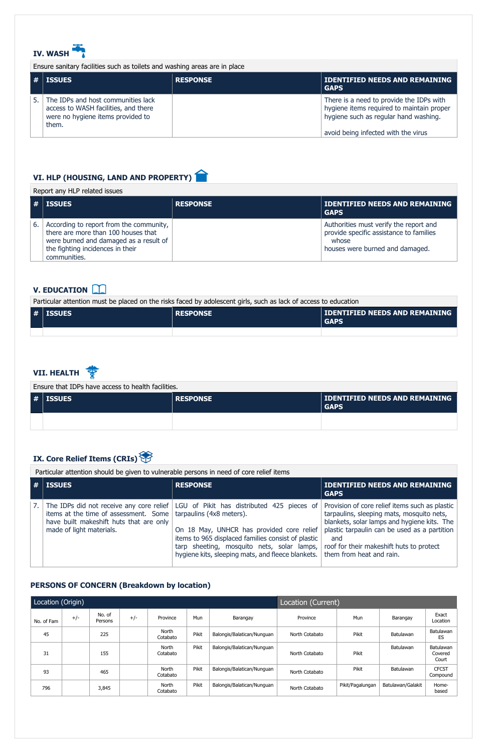## **PERSONS OF CONCERN (Breakdown by location)**



Ensure sanitary facilities such as toilets and washing areas are in place

| $\vert$ # $\vert$ issues                                                                                                 | <b>RESPONSE</b> | <b>IDENTIFIED NEEDS AND REMAINING</b><br><b>GAPS</b>                                                                                                                  |  |  |
|--------------------------------------------------------------------------------------------------------------------------|-----------------|-----------------------------------------------------------------------------------------------------------------------------------------------------------------------|--|--|
| The IDPs and host communities lack<br>access to WASH facilities, and there<br>were no hygiene items provided to<br>them. |                 | There is a need to provide the IDPs with<br>hygiene items required to maintain proper<br>hygiene such as regular hand washing.<br>avoid being infected with the virus |  |  |
|                                                                                                                          |                 |                                                                                                                                                                       |  |  |

## **V. EDUCATION**

#### **VII. HEALTH** ङ्क

| Particular attention must be placed on the risks faced by adolescent girls, such as lack of access to education |
|-----------------------------------------------------------------------------------------------------------------|
|-----------------------------------------------------------------------------------------------------------------|

| $\vert$ # $\vert$ ISSUES | <b>RESPONSE</b> | <b>IDENTIFIED NEEDS AND REMAINING</b><br><b>GAPS</b> |
|--------------------------|-----------------|------------------------------------------------------|
|                          |                 |                                                      |

# **VI. HLP (HOUSING, LAND AND PROPERTY)**

### Report any HLP related issues

|    | ∣ #∣ISSUES                                                                                                                                                                   | <b>RESPONSE</b> | <b>IDENTIFIED NEEDS AND REMAINING</b><br><b>GAPS</b>                                                                          |
|----|------------------------------------------------------------------------------------------------------------------------------------------------------------------------------|-----------------|-------------------------------------------------------------------------------------------------------------------------------|
| 6. | According to report from the community,<br>there are more than 100 houses that<br>were burned and damaged as a result of<br>the fighting incidences in their<br>communities. |                 | Authorities must verify the report and<br>provide specific assistance to families<br>whose<br>houses were burned and damaged. |

Ensure that IDPs have access to health facilities.

| $ # $ issues | <b>RESPONSE</b> | <b>IDENTIFIED NEEDS AND REMAINING</b><br><b>GAPS</b> |  |  |
|--------------|-----------------|------------------------------------------------------|--|--|
|              |                 |                                                      |  |  |

# **IX. Core Relief Items (CRIs)**

Particular attention should be given to vulnerable persons in need of core relief items

| <b>ISSUES</b>                                                                                                                                 | <b>RESPONSE</b>                                                                                                                                                                                                                                                                                                          | <b>IDENTIFIED NEEDS AND REMAINING</b><br><b>GAPS</b>                                                                                                                                                                                          |
|-----------------------------------------------------------------------------------------------------------------------------------------------|--------------------------------------------------------------------------------------------------------------------------------------------------------------------------------------------------------------------------------------------------------------------------------------------------------------------------|-----------------------------------------------------------------------------------------------------------------------------------------------------------------------------------------------------------------------------------------------|
| items at the time of assessment. Some $\vert$ tarpaulins (4x8 meters).<br>have built makeshift huts that are only<br>made of light materials. | The IDPs did not receive any core relief   LGU of Pikit has distributed 425 pieces of  <br>On 18 May, UNHCR has provided core relief<br>items to 965 displaced families consist of plastic<br>tarp sheeting, mosquito nets, solar lamps,<br>hygiene kits, sleeping mats, and fleece blankets.   them from heat and rain. | Provision of core relief items such as plastic<br>tarpaulins, sleeping mats, mosquito nets,<br>blankets, solar lamps and hygiene kits. The<br>plastic tarpaulin can be used as a partition<br>and<br>roof for their makeshift huts to protect |

| Location (Origin) |       |                   |       | Location (Current) |              |                            |                |                  |                   |                               |
|-------------------|-------|-------------------|-------|--------------------|--------------|----------------------------|----------------|------------------|-------------------|-------------------------------|
| No. of Fam        | $+/-$ | No. of<br>Persons | $+/-$ | Province           | <b>Mun</b>   | Barangay                   | Province       | Mun              | Barangay          | Exact<br>Location             |
| 45                |       | 225               |       | North<br>Cotabato  | <b>Pikit</b> | Balongis/Balatican/Nunguan | North Cotabato | Pikit            | Batulawan         | Batulawan<br>ES               |
| 31                |       | 155               |       | North<br>Cotabato  | <b>Pikit</b> | Balongis/Balatican/Nunguan | North Cotabato | Pikit            | Batulawan         | Batulawan<br>Covered<br>Court |
| 93                |       | 465               |       | North<br>Cotabato  | <b>Pikit</b> | Balongis/Balatican/Nunguan | North Cotabato | Pikit            | Batulawan         | <b>CFCST</b><br>Compound      |
| 796               |       | 3,845             |       | North<br>Cotabato  | <b>Pikit</b> | Balongis/Balatican/Nunguan | North Cotabato | Pikit/Pagalungan | Batulawan/Galakit | Home-<br>based                |